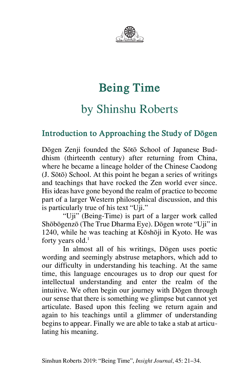

# by Shinshu Roberts

### **Introduction to Approaching the Study of Dōgen**

Dōgen Zenji founded the Sōtō School of Japanese Buddhism (thirteenth century) after returning from China, where he became a lineage holder of the Chinese Caodong (J. Sōtō) School. At this point he began a series of writings and teachings that have rocked the Zen world ever since. His ideas have gone beyond the realm of practice to become part of a larger Western philosophical discussion, and this is particularly true of his text "Uji."

"Uji" (Being-Time) is part of a larger work called Shōbōgenzō (The True Dharma Eye). Dōgen wrote "Uji" in 1240, while he was teaching at Kōshōji in Kyoto. He was forty years old. $<sup>1</sup>$ </sup>

In almost all of his writings, Dōgen uses poetic wording and seemingly abstruse metaphors, which add to our difficulty in understanding his teaching. At the same time, this language encourages us to drop our quest for intellectual understanding and enter the realm of the intuitive. We often begin our journey with Dōgen through our sense that there is something we glimpse but cannot yet articulate. Based upon this feeling we return again and again to his teachings until a glimmer of understanding begins to appear. Finally we are able to take a stab at articulating his meaning.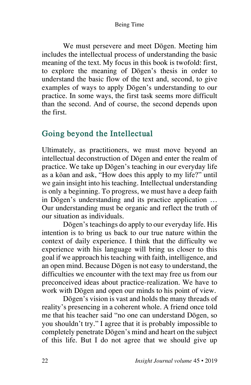We must persevere and meet Dōgen. Meeting him includes the intellectual process of understanding the basic meaning of the text. My focus in this book is twofold: first, to explore the meaning of Dōgen's thesis in order to understand the basic flow of the text and, second, to give examples of ways to apply Dōgen's understanding to our practice. In some ways, the first task seems more difficult than the second. And of course, the second depends upon the first.

### **Going beyond the Intellectual**

Ultimately, as practitioners, we must move beyond an intellectual deconstruction of Dōgen and enter the realm of practice. We take up Dōgen's teaching in our everyday life as a kōan and ask, "How does this apply to my life?" until we gain insight into his teaching. Intellectual understanding is only a beginning. To progress, we must have a deep faith in Dōgen's understanding and its practice application … Our understanding must be organic and reflect the truth of our situation as individuals.

Dōgen's teachings do apply to our everyday life. His intention is to bring us back to our true nature within the context of daily experience. I think that the difficulty we experience with his language will bring us closer to this goal if we approach his teaching with faith, intelligence, and an open mind. Because Dōgen is not easy to understand, the difficulties we encounter with the text may free us from our preconceived ideas about practice-realization. We have to work with Dōgen and open our minds to his point of view.

Dōgen's vision is vast and holds the many threads of reality's presencing in a coherent whole. A friend once told me that his teacher said "no one can understand Dōgen, so you shouldn't try." I agree that it is probably impossible to completely penetrate Dōgen's mind and heart on the subject of this life. But I do not agree that we should give up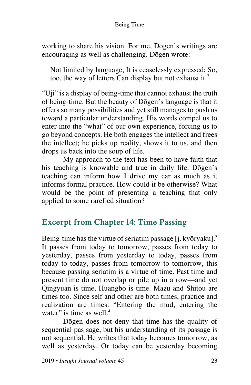working to share his vision. For me, Dōgen's writings are encouraging as well as challenging. Dōgen wrote:

Not limited by language, It is ceaselessly expressed; So, too, the way of letters Can display but not exhaust it.<sup>2</sup>

"Uji" is a display of being-time that cannot exhaust the truth of being-time. But the beauty of Dōgen's language is that it offers so many possibilities and yet still manages to push us toward a particular understanding. His words compel us to enter into the "what" of our own experience, forcing us to go beyond concepts. He both engages the intellect and frees the intellect; he picks up reality, shows it to us, and then drops us back into the soup of life.

My approach to the text has been to have faith that his teaching is knowable and true in daily life. Dōgen's teaching can inform how I drive my car as much as it informs formal practice. How could it be otherwise? What would be the point of presenting a teaching that only applied to some rarefied situation?

## **Excerpt from Chapter 14: Time Passing**

Being-time has the virtue of seriatim passage  $[i, k\bar{\nu}\bar{\sigma}r\bar{\nu}a\bar{k}u]$ .<sup>3</sup> It passes from today to tomorrow, passes from today to yesterday, passes from yesterday to today, passes from today to today, passes from tomorrow to tomorrow, this because passing seriatim is a virtue of time. Past time and present time do not overlap or pile up in a row—and yet Qingyuan is time, Huangbo is time. Mazu and Shitou are times too. Since self and other are both times, practice and realization are times. "Entering the mud, entering the water" is time as well.<sup>4</sup>

Dōgen does not deny that time has the quality of sequential pas sage, but his understanding of its passage is not sequential. He writes that today becomes tomorrow, as well as yesterday. Or today can be yesterday becoming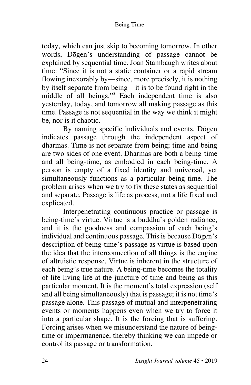today, which can just skip to becoming tomorrow. In other words, Dōgen's understanding of passage cannot be explained by sequential time. Joan Stambaugh writes about time: "Since it is not a static container or a rapid stream flowing inexorably by—since, more precisely, it is nothing by itself separate from being—it is to be found right in the middle of all beings."<sup>5</sup> Each independent time is also yesterday, today, and tomorrow all making passage as this time. Passage is not sequential in the way we think it might be, nor is it chaotic.

By naming specific individuals and events, Dōgen indicates passage through the independent aspect of dharmas. Time is not separate from being; time and being are two sides of one event. Dharmas are both a being-time and all being-time, as embodied in each being-time. A person is empty of a fixed identity and universal, yet simultaneously functions as a particular being-time. The problem arises when we try to fix these states as sequential and separate. Passage is life as process, not a life fixed and explicated.

Interpenetrating continuous practice or passage is being-time's virtue. Virtue is a buddha's golden radiance, and it is the goodness and compassion of each being's individual and continuous passage. This is because Dōgen's description of being-time's passage as virtue is based upon the idea that the interconnection of all things is the engine of altruistic response. Virtue is inherent in the structure of each being's true nature. A being-time becomes the totality of life living life at the juncture of time and being as this particular moment. It is the moment's total expression (self and all being simultaneously) that is passage; it is not time's passage alone. This passage of mutual and interpenetrating events or moments happens even when we try to force it into a particular shape. It is the forcing that is suffering. Forcing arises when we misunderstand the nature of beingtime or impermanence, thereby thinking we can impede or control its passage or transformation.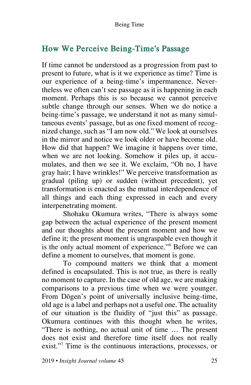## **How We Perceive Being-Time's Passage**

If time cannot be understood as a progression from past to present to future, what is it we experience as time? Time is our experience of a being-time's impermanence. Nevertheless we often can't see passage as it is happening in each moment. Perhaps this is so because we cannot perceive subtle change through our senses. When we do notice a being-time's passage, we understand it not as many simultaneous events' passage, but as one fixed moment of recognized change, such as "I am now old." We look at ourselves in the mirror and notice we look older or have become old. How did that happen? We imagine it happens over time, when we are not looking. Somehow it piles up, it accumulates, and then we see it. We exclaim, "Oh no, I have gray hair; I have wrinkles!" We perceive transformation as gradual (piling up) or sudden (without precedent), yet transformation is enacted as the mutual interdependence of all things and each thing expressed in each and every interpenetrating moment.

Shohaku Okumura writes, "There is always some gap between the actual experience of the present moment and our thoughts about the present moment and how we define it; the present moment is ungraspable even though it is the only actual moment of experience."<sup>6</sup> Before we can define a moment to ourselves, that moment is gone.

To compound matters we think that a moment defined is encapsulated. This is not true, as there is really no moment to capture. In the case of old age, we are making comparisons to a previous time when we were younger. From Dōgen's point of universally inclusive being-time, old age is a label and perhaps not a useful one. The actuality of our situation is the fluidity of "just this" as passage. Okumura continues with this thought when he writes, "There is nothing, no actual unit of time … The present does not exist and therefore time itself does not really exist."<sup>7</sup> Time is the continuous interactions, processes, or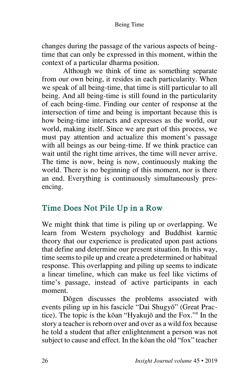changes during the passage of the various aspects of beingtime that can only be expressed in this moment, within the context of a particular dharma position.

Although we think of time as something separate from our own being, it resides in each particularity. When we speak of all being-time, that time is still particular to all being. And all being-time is still found in the particularity of each being-time. Finding our center of response at the intersection of time and being is important because this is how being-time interacts and expresses as the world, our world, making itself. Since we are part of this process, we must pay attention and actualize this moment's passage with all beings as our being-time. If we think practice can wait until the right time arrives, the time will never arrive. The time is now, being is now, continuously making the world. There is no beginning of this moment, nor is there an end. Everything is continuously simultaneously presencing.

### **Time Does Not Pile Up in a Row**

We might think that time is piling up or overlapping. We learn from Western psychology and Buddhist karmic theory that our experience is predicated upon past actions that define and determine our present situation. In this way, time seems to pile up and create a predetermined or habitual response. This overlapping and piling up seems to indicate a linear timeline, which can make us feel like victims of time's passage, instead of active participants in each moment.

Dōgen discusses the problems associated with events piling up in his fascicle "Dai Shugyō" (Great Practice). The topic is the kōan "Hyakujō and the Fox."<sup>8</sup> In the story a teacher is reborn over and over as a wild fox because he told a student that after enlightenment a person was not subject to cause and effect. In the kōan the old "fox" teacher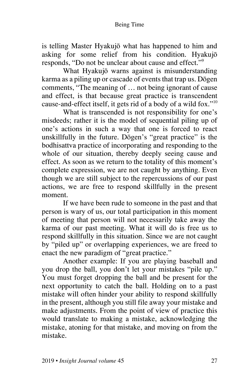is telling Master Hyakujō what has happened to him and asking for some relief from his condition. Hyakujō responds, "Do not be unclear about cause and effect."<sup>9</sup>

What Hyakujō warns against is misunderstanding karma as a piling up or cascade of events that trap us. Dōgen comments, "The meaning of … not being ignorant of cause and effect, is that because great practice is transcendent cause-and-effect itself, it gets rid of a body of a wild fox."<sup>10</sup>

What is transcended is not responsibility for one's misdeeds; rather it is the model of sequential piling up of one's actions in such a way that one is forced to react unskillfully in the future. Dōgen's "great practice" is the bodhisattva practice of incorporating and responding to the whole of our situation, thereby deeply seeing cause and effect. As soon as we return to the totality of this moment's complete expression, we are not caught by anything. Even though we are still subject to the repercussions of our past actions, we are free to respond skillfully in the present moment.

If we have been rude to someone in the past and that person is wary of us, our total participation in this moment of meeting that person will not necessarily take away the karma of our past meeting. What it will do is free us to respond skillfully in this situation. Since we are not caught by "piled up" or overlapping experiences, we are freed to enact the new paradigm of "great practice."

Another example: If you are playing baseball and you drop the ball, you don't let your mistakes "pile up." You must forget dropping the ball and be present for the next opportunity to catch the ball. Holding on to a past mistake will often hinder your ability to respond skillfully in the present, although you still file away your mistake and make adjustments. From the point of view of practice this would translate to making a mistake, acknowledging the mistake, atoning for that mistake, and moving on from the mistake.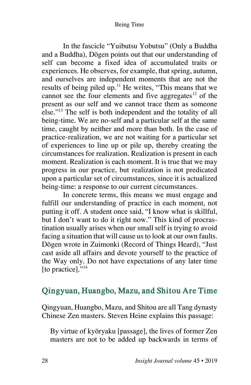In the fascicle "Yuibutsu Yobutsu" (Only a Buddha and a Buddha), Dōgen points out that our understanding of self can become a fixed idea of accumulated traits or experiences. He observes, for example, that spring, autumn, and ourselves are independent moments that are not the results of being piled up.<sup>11</sup> He writes, "This means that we cannot see the four elements and five aggregates<sup>12</sup> of the present as our self and we cannot trace them as someone else."<sup>13</sup> The self is both independent and the totality of all being-time. We are no-self and a particular self at the same time, caught by neither and more than both. In the case of practice-realization, we are not waiting for a particular set of experiences to line up or pile up, thereby creating the circumstances for realization. Realization is present in each moment. Realization is each moment. It is true that we may progress in our practice, but realization is not predicated upon a particular set of circumstances, since it is actualized being-time: a response to our current circumstances.

In concrete terms, this means we must engage and fulfill our understanding of practice in each moment, not putting it off. A student once said, "I know what is skillful, but I don't want to do it right now." This kind of procrastination usually arises when our small self is trying to avoid facing a situation that will cause us to look at our own faults. Dōgen wrote in Zuimonki (Record of Things Heard), "Just cast aside all affairs and devote yourself to the practice of the Way only. Do not have expectations of any later time [to practice]."<sup>14</sup>

## **Qingyuan, Huangbo, Mazu, and Shitou Are Time**

Qingyuan, Huangbo, Mazu, and Shitou are all Tang dynasty Chinese Zen masters. Steven Heine explains this passage:

By virtue of kyōryaku [passage], the lives of former Zen masters are not to be added up backwards in terms of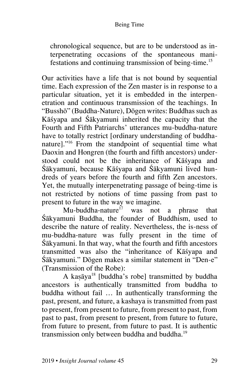chronological sequence, but are to be understood as interpenetrating occasions of the spontaneous manifestations and continuing transmission of being-time.<sup>15</sup>

Our activities have a life that is not bound by sequential time. Each expression of the Zen master is in response to a particular situation, yet it is embedded in the interpenetration and continuous transmission of the teachings. In "Busshō" (Buddha-Nature), Dōgen writes: Buddhas such as Kāśyapa and Śākyamuni inherited the capacity that the Fourth and Fifth Patriarchs' utterances mu-buddha-nature have to totally restrict [ordinary understanding of buddhanature]."<sup>16</sup> From the standpoint of sequential time what Daoxin and Hongren (the fourth and fifth ancestors) understood could not be the inheritance of Kāśyapa and Śākyamuni, because Kāśyapa and Śākyamuni lived hundreds of years before the fourth and fifth Zen ancestors. Yet, the mutually interpenetrating passage of being-time is not restricted by notions of time passing from past to present to future in the way we imagine.

Mu-buddha-nature<sup> $i\bar{i}$ </sup> was not a phrase that Śākyamuni Buddha, the founder of Buddhism, used to describe the nature of reality. Nevertheless, the is-ness of mu-buddha-nature was fully present in the time of Śākyamuni. In that way, what the fourth and fifth ancestors transmitted was also the "inheritance of Kāśyapa and Śākyamuni." Dōgen makes a similar statement in "Den-e" (Transmission of the Robe):

A kasāya<sup>18</sup> [buddha's robe] transmitted by buddha ancestors is authentically transmitted from buddha to buddha without fail … In authentically transforming the past, present, and future, a kashaya is transmitted from past to present, from present to future, from present to past, from past to past, from present to present, from future to future, from future to present, from future to past. It is authentic transmission only between buddha and buddha.<sup>19</sup>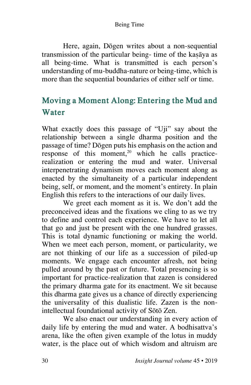Here, again, Dōgen writes about a non-sequential transmission of the particular being- time of the kas $\bar{a}$ ya as all being-time. What is transmitted is each person's understanding of mu-buddha-nature or being-time, which is more than the sequential boundaries of either self or time.

## **Moving a Moment Along: Entering the Mud and Water**

What exactly does this passage of "Uji" say about the relationship between a single dharma position and the passage of time? Dōgen puts his emphasis on the action and response of this moment.<sup>20</sup> which he calls practicerealization or entering the mud and water. Universal interpenetrating dynamism moves each moment along as enacted by the simultaneity of a particular independent being, self, or moment, and the moment's entirety. In plain English this refers to the interactions of our daily lives.

We greet each moment as it is. We don't add the preconceived ideas and the fixations we cling to as we try to define and control each experience. We have to let all that go and just be present with the one hundred grasses. This is total dynamic functioning or making the world. When we meet each person, moment, or particularity, we are not thinking of our life as a succession of piled-up moments. We engage each encounter afresh, not being pulled around by the past or future. Total presencing is so important for practice-realization that zazen is considered the primary dharma gate for its enactment. We sit because this dharma gate gives us a chance of directly experiencing the universality of this dualistic life. Zazen is the nonintellectual foundational activity of Sōtō Zen.

We also enact our understanding in every action of daily life by entering the mud and water. A bodhisattva's arena, like the often given example of the lotus in muddy water, is the place out of which wisdom and altruism are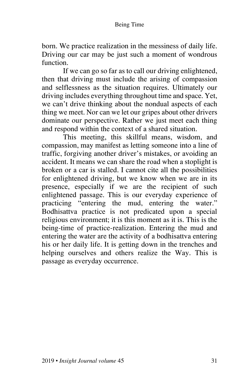born. We practice realization in the messiness of daily life. Driving our car may be just such a moment of wondrous function.

If we can go so far as to call our driving enlightened, then that driving must include the arising of compassion and selflessness as the situation requires. Ultimately our driving includes everything throughout time and space. Yet, we can't drive thinking about the nondual aspects of each thing we meet. Nor can we let our gripes about other drivers dominate our perspective. Rather we just meet each thing and respond within the context of a shared situation.

This meeting, this skillful means, wisdom, and compassion, may manifest as letting someone into a line of traffic, forgiving another driver's mistakes, or avoiding an accident. It means we can share the road when a stoplight is broken or a car is stalled. I cannot cite all the possibilities for enlightened driving, but we know when we are in its presence, especially if we are the recipient of such enlightened passage. This is our everyday experience of practicing "entering the mud, entering the water." Bodhisattva practice is not predicated upon a special religious environment; it is this moment as it is. This is the being-time of practice-realization. Entering the mud and entering the water are the activity of a bodhisattva entering his or her daily life. It is getting down in the trenches and helping ourselves and others realize the Way. This is passage as everyday occurrence.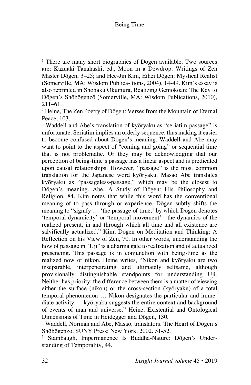<sup>3</sup> Waddell and Abe's translation of kyōryaku as "seriatim passage" is unfortunate. Seriatim implies an orderly sequence, thus making it easier to become confused about Dōgen's meaning. Waddell and Abe may want to point to the aspect of "coming and going" or sequential time that is not problematic. Or they may be acknowledging that our perception of being-time's passage has a linear aspect and is predicated upon causal relationships. However, "passage" is the most common translation for the Japanese word kyōryaku. Masao Abe translates kyōryaku as "passageless-passage," which may be the closest to Dōgen's meaning. Abe, A Study of Dōgen: His Philosophy and Religion, 84. Kim notes that while this word has the conventional meaning of to pass through or experience, Dōgen subtly shifts the meaning to "signify … 'the passage of time,' by which Dōgen denotes 'temporal dynamicity' or 'temporal movement'—the dynamics of the realized present, in and through which all time and all existence are salvifically actualized." Kim, Dōgen on Meditation and Thinking: A Reflection on his View of Zen, 70. In other words, understanding the how of passage in "Uji" is a dharma gate to realization and of actualized presencing. This passage is in conjunction with being-time as the realized now or nikon. Heine writes, "Nikon and kyōryaku are two inseparable, interpenetrating and ultimately selfsame, although provisionally distinguishable standpoints for understanding Uji. Neither has priority; the difference between them is a matter of viewing either the surface (nikon) or the cross-section (kyōryaku) of a total temporal phenomenon … Nikon designates the particular and immediate activity … kyōryaku suggests the entire context and background of events of man and universe." Heine, Existential and Ontological Dimensions of Time in Heidegger and Dōgen, 130.

<sup>4</sup> Waddell, Norman and Abe, Masao, translators. The Heart of Dōgen's Shōbōgenzo. SUNY Press: New York, 2002. 51-52.

<sup>5</sup> Stambaugh, Impermanence Is Buddha-Nature: Dōgen's Understanding of Temporality, 44.

<sup>&</sup>lt;sup>1</sup> There are many short biographies of Dōgen available. Two sources are: Kazuaki Tanahashi, ed., Moon in a Dewdrop: Writings of Zen Master Dōgen, 3–25; and Hee-Jin Kim, Eihei Dōgen: Mystical Realist (Somerville, MA: Wisdom Publica- tions, 2004), 14-49. Kim's essay is also reprinted in Shohaku Okumura, Realizing Genjokoan: The Key to Dōgen's Shōbōgenzō (Somerville, MA: Wisdom Publications, 2010), 211–61.  $\overline{a}$ 

 $2$ <sup>2</sup> Heine, The Zen Poetry of Dōgen: Verses from the Mountain of Eternal Peace, 103.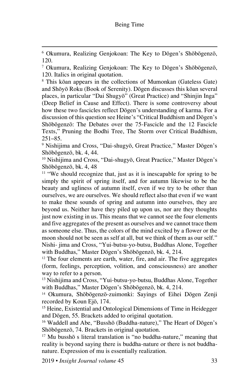$\overline{a}$ <sup>6</sup> Okumura, Realizing Genjokoan: The Key to Dōgen's Shōbōgenzō, 120.

<sup>7</sup> Okumura, Realizing Genjokoan: The Key to Dōgen's Shōbōgenzō, 120. Italics in original quotation.

<sup>8</sup> This kōan appears in the collections of Mumonkan (Gateless Gate) and Shōyō Roku (Book of Serenity). Dōgen discusses this kōan several places, in particular "Dai Shugyō" (Great Practice) and "Shinjin Inga" (Deep Belief in Cause and Effect). There is some controversy about how these two fascicles reflect Dōgen's understanding of karma. For a discussion of this question see Heine's "Critical Buddhism and Dōgen's Shōbōgenzō: The Debates over the 75-Fascicle and the 12 Fascicle Texts," Pruning the Bodhi Tree, The Storm over Critical Buddhism, 251–85.

<sup>9</sup> Nishijima and Cross, "Dai-shugyō, Great Practice," Master Dōgen's Shōbōgenzō, bk. 4, 44.

<sup>10</sup> Nishijima and Cross, "Dai-shugyō, Great Practice," Master Dōgen's Shōbōgenzō, bk. 4, 48

<sup>11</sup> "We should recognize that, just as it is inescapable for spring to be simply the spirit of spring itself, and for autumn likewise to be the beauty and ugliness of autumn itself, even if we try to be other than ourselves, we are ourselves. We should reflect also that even if we want to make these sounds of spring and autumn into ourselves, they are beyond us. Neither have they piled up upon us, nor are they thoughts just now existing in us. This means that we cannot see the four elements and five aggregates of the present as ourselves and we cannot trace them as someone else. Thus, the colors of the mind excited by a flower or the moon should not be seen as self at all, but we think of them as our self." Nishi- jima and Cross, "Yui-butsu-yo-butsu, Buddhas Alone, Together with Buddhas," Master Dōgen's Shōbōgenzō, bk. 4, 214.

 $12$  The four elements are earth, water, fire, and air. The five aggregates (form, feelings, perception, volition, and consciousness) are another way to refer to a person.

<sup>13</sup> Nishijima and Cross, "Yui-butsu-yo-butsu, Buddhas Alone, Together with Buddhas," Master Dōgen's Shōbōgenzō, bk. 4, 214.

<sup>14</sup> Okumura, Shōbōgenzō-zuimonki: Sayings of Eihei Dōgen Zenji recorded by Koun Ejō, 174.

<sup>15</sup> Heine, Existential and Ontological Dimensions of Time in Heidegger and Dōgen, 55. Brackets added to original quotation.

<sup>16</sup> Waddell and Abe, "Busshō (Buddha-nature)," The Heart of Dōgen's Shōbōgenzō, 74. Brackets in original quotation.

<sup>17</sup> Mu busshō s literal translation is "no buddha-nature," meaning that reality is beyond saying there is buddha-nature or there is not buddhanature. Expression of mu is essentially realization.

2019 • *Insight Journal volume* 45 33